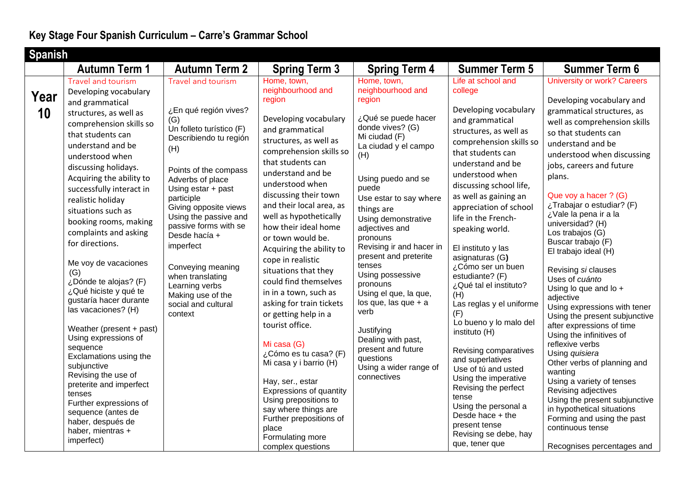|            | <b>Spanish</b>                                                                                                                                                                                                                                                                                                                                                                                                  |                                                                                                                                                                                                                                                                                                                                       |                                                                                                                                                                                                                                                                                                                                                                                                                                       |                                                                                                                                                                                                                                                                                                                                                                              |                                                                                                                                                                                                                                                                                                                                                                                   |                                                                                                                                                                                                                                                                                                                                                                                                                                                              |  |
|------------|-----------------------------------------------------------------------------------------------------------------------------------------------------------------------------------------------------------------------------------------------------------------------------------------------------------------------------------------------------------------------------------------------------------------|---------------------------------------------------------------------------------------------------------------------------------------------------------------------------------------------------------------------------------------------------------------------------------------------------------------------------------------|---------------------------------------------------------------------------------------------------------------------------------------------------------------------------------------------------------------------------------------------------------------------------------------------------------------------------------------------------------------------------------------------------------------------------------------|------------------------------------------------------------------------------------------------------------------------------------------------------------------------------------------------------------------------------------------------------------------------------------------------------------------------------------------------------------------------------|-----------------------------------------------------------------------------------------------------------------------------------------------------------------------------------------------------------------------------------------------------------------------------------------------------------------------------------------------------------------------------------|--------------------------------------------------------------------------------------------------------------------------------------------------------------------------------------------------------------------------------------------------------------------------------------------------------------------------------------------------------------------------------------------------------------------------------------------------------------|--|
|            | <b>Autumn Term 1</b>                                                                                                                                                                                                                                                                                                                                                                                            | <b>Autumn Term 2</b>                                                                                                                                                                                                                                                                                                                  |                                                                                                                                                                                                                                                                                                                                                                                                                                       |                                                                                                                                                                                                                                                                                                                                                                              | <b>Summer Term 5</b>                                                                                                                                                                                                                                                                                                                                                              | <b>Summer Term 6</b>                                                                                                                                                                                                                                                                                                                                                                                                                                         |  |
| Year<br>10 | Travel and tourism<br>Developing vocabulary<br>and grammatical<br>structures, as well as<br>comprehension skills so<br>that students can<br>understand and be<br>understood when<br>discussing holidays.<br>Acquiring the ability to<br>successfully interact in<br>realistic holiday<br>situations such as<br>booking rooms, making<br>complaints and asking<br>for directions.<br>Me voy de vacaciones<br>(G) | <b>Travel and tourism</b><br>¿En qué región vives?<br>(G)<br>Un folleto turístico (F)<br>Describiendo tu región<br>(H)<br>Points of the compass<br>Adverbs of place<br>Using estar + past<br>participle<br>Giving opposite views<br>Using the passive and<br>passive forms with se<br>Desde hacía +<br>imperfect<br>Conveying meaning | <b>Spring Term 3</b><br>Home, town,<br>neighbourhood and<br>region<br>Developing vocabulary<br>and grammatical<br>structures, as well as<br>comprehension skills so<br>that students can<br>understand and be<br>understood when<br>discussing their town<br>and their local area, as<br>well as hypothetically<br>how their ideal home<br>or town would be.<br>Acquiring the ability to<br>cope in realistic<br>situations that they | <b>Spring Term 4</b><br>Home, town,<br>neighbourhood and<br>region<br>¿Qué se puede hacer<br>donde vives? (G)<br>Mi ciudad (F)<br>La ciudad y el campo<br>(H)<br>Using puedo and se<br>puede<br>Use estar to say where<br>things are<br>Using demonstrative<br>adjectives and<br>pronouns<br>Revising ir and hacer in<br>present and preterite<br>tenses<br>Using possessive | Life at school and<br>college<br>Developing vocabulary<br>and grammatical<br>structures, as well as<br>comprehension skills so<br>that students can<br>understand and be<br>understood when<br>discussing school life,<br>as well as gaining an<br>appreciation of school<br>life in the French-<br>speaking world.<br>El instituto y las<br>asignaturas (G)<br>¿Cómo ser un buen | <b>University or work? Careers</b><br>Developing vocabulary and<br>grammatical structures, as<br>well as comprehension skills<br>so that students can<br>understand and be<br>understood when discussing<br>jobs, careers and future<br>plans.<br>Que voy a hacer ? (G)<br>¿Trabajar o estudiar? (F)<br>¿Vale la pena ir a la<br>universidad? (H)<br>Los trabajos (G)<br>Buscar trabajo (F)<br>El trabajo ideal (H)<br>Revising si clauses<br>Uses of cuánto |  |
|            | ¿Dónde te alojas? (F)<br>¿Qué hiciste y qué te<br>gustaría hacer durante<br>las vacaciones? (H)                                                                                                                                                                                                                                                                                                                 | when translating<br>Learning verbs<br>Making use of the<br>social and cultural<br>context                                                                                                                                                                                                                                             | could find themselves<br>in in a town, such as<br>asking for train tickets<br>or getting help in a                                                                                                                                                                                                                                                                                                                                    | pronouns<br>Using el que, la que,<br>$\log$ que, las que + a<br>verb                                                                                                                                                                                                                                                                                                         | estudiante? (F)<br>¿Qué tal el instituto?<br>(H)<br>Las reglas y el uniforme<br>(F)                                                                                                                                                                                                                                                                                               | Using lo que and lo +<br>adjective<br>Using expressions with tener<br>Using the present subjunctive                                                                                                                                                                                                                                                                                                                                                          |  |
|            | Weather (present + past)<br>Using expressions of<br>sequence<br>Exclamations using the<br>subjunctive<br>Revising the use of<br>preterite and imperfect<br>tenses<br>Further expressions of<br>sequence (antes de<br>haber, después de<br>haber, mientras +<br>imperfect)                                                                                                                                       |                                                                                                                                                                                                                                                                                                                                       | tourist office.<br>Mi casa (G)<br>¿Cómo es tu casa? (F)<br>Mi casa y i barrio (H)<br>Hay, ser., estar<br>Expressions of quantity<br>Using prepositions to<br>say where things are<br>Further prepositions of<br>place<br>Formulating more<br>complex questions                                                                                                                                                                        | Justifying<br>Dealing with past,<br>present and future<br>questions<br>Using a wider range of<br>connectives                                                                                                                                                                                                                                                                 | Lo bueno y lo malo del<br>instituto (H)<br>Revising comparatives<br>and superlatives<br>Use of tú and usted<br>Using the imperative<br>Revising the perfect<br>tense<br>Using the personal a<br>Desde hace + the<br>present tense<br>Revising se debe, hay<br>que, tener que                                                                                                      | after expressions of time<br>Using the infinitives of<br>reflexive verbs<br>Using quisiera<br>Other verbs of planning and<br>wanting<br>Using a variety of tenses<br>Revising adjectives<br>Using the present subjunctive<br>in hypothetical situations<br>Forming and using the past<br>continuous tense<br>Recognises percentages and                                                                                                                      |  |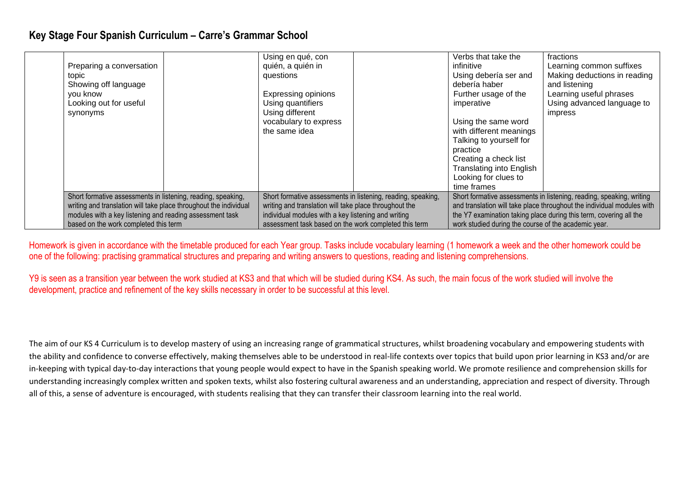| Preparing a conversation<br>topic<br>Showing off language<br>you know<br>Looking out for useful<br>synonyms |  | Using en qué, con<br>quién, a quién in<br>questions<br><b>Expressing opinions</b><br>Using quantifiers<br>Using different<br>vocabulary to express<br>the same idea |  | Verbs that take the<br>infinitive<br>Using debería ser and<br>debería haber<br>Further usage of the<br>imperative<br>Using the same word<br>with different meanings<br>Talking to yourself for<br>practice<br>Creating a check list<br><b>Translating into English</b><br>Looking for clues to<br>time frames | fractions<br>Learning common suffixes<br>Making deductions in reading<br>and listening<br>Learning useful phrases<br>Using advanced language to<br>impress |
|-------------------------------------------------------------------------------------------------------------|--|---------------------------------------------------------------------------------------------------------------------------------------------------------------------|--|---------------------------------------------------------------------------------------------------------------------------------------------------------------------------------------------------------------------------------------------------------------------------------------------------------------|------------------------------------------------------------------------------------------------------------------------------------------------------------|
| Short formative assessments in listening, reading, speaking,                                                |  | Short formative assessments in listening, reading, speaking,                                                                                                        |  | Short formative assessments in listening, reading, speaking, writing                                                                                                                                                                                                                                          |                                                                                                                                                            |
| writing and translation will take place throughout the individual                                           |  | writing and translation will take place throughout the                                                                                                              |  | and translation will take place throughout the individual modules with                                                                                                                                                                                                                                        |                                                                                                                                                            |
| modules with a key listening and reading assessment task                                                    |  | individual modules with a key listening and writing                                                                                                                 |  | the Y7 examination taking place during this term, covering all the                                                                                                                                                                                                                                            |                                                                                                                                                            |
| based on the work completed this term                                                                       |  | assessment task based on the work completed this term                                                                                                               |  | work studied during the course of the academic year.                                                                                                                                                                                                                                                          |                                                                                                                                                            |

Homework is given in accordance with the timetable produced for each Year group. Tasks include vocabulary learning (1 homework a week and the other homework could be one of the following: practising grammatical structures and preparing and writing answers to questions, reading and listening comprehensions.

Y9 is seen as a transition year between the work studied at KS3 and that which will be studied during KS4. As such, the main focus of the work studied will involve the development, practice and refinement of the key skills necessary in order to be successful at this level.

The aim of our KS 4 Curriculum is to develop mastery of using an increasing range of grammatical structures, whilst broadening vocabulary and empowering students with the ability and confidence to converse effectively, making themselves able to be understood in real-life contexts over topics that build upon prior learning in KS3 and/or are in-keeping with typical day-to-day interactions that young people would expect to have in the Spanish speaking world. We promote resilience and comprehension skills for understanding increasingly complex written and spoken texts, whilst also fostering cultural awareness and an understanding, appreciation and respect of diversity. Through all of this, a sense of adventure is encouraged, with students realising that they can transfer their classroom learning into the real world.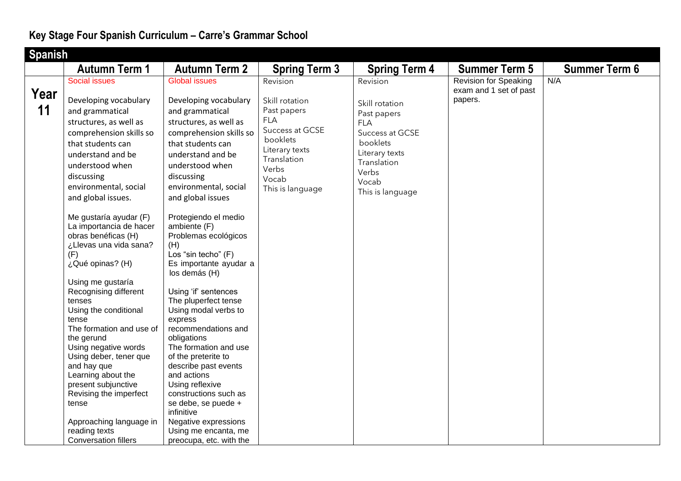| <b>Spanish</b> |                                                                                                                                                                                                                                                                                                                                                                                                                                                                                                                                                                                                                                    |                                                                                                                                                                                                                                                                                                                                                                                                                                                                                                                                                                                                                            |                                                                                                                                                                                       |                                                                                                                                                                                       |                                                                   |                      |
|----------------|------------------------------------------------------------------------------------------------------------------------------------------------------------------------------------------------------------------------------------------------------------------------------------------------------------------------------------------------------------------------------------------------------------------------------------------------------------------------------------------------------------------------------------------------------------------------------------------------------------------------------------|----------------------------------------------------------------------------------------------------------------------------------------------------------------------------------------------------------------------------------------------------------------------------------------------------------------------------------------------------------------------------------------------------------------------------------------------------------------------------------------------------------------------------------------------------------------------------------------------------------------------------|---------------------------------------------------------------------------------------------------------------------------------------------------------------------------------------|---------------------------------------------------------------------------------------------------------------------------------------------------------------------------------------|-------------------------------------------------------------------|----------------------|
|                | <b>Autumn Term 1</b>                                                                                                                                                                                                                                                                                                                                                                                                                                                                                                                                                                                                               | <b>Autumn Term 2</b>                                                                                                                                                                                                                                                                                                                                                                                                                                                                                                                                                                                                       |                                                                                                                                                                                       |                                                                                                                                                                                       | <b>Summer Term 5</b>                                              | <b>Summer Term 6</b> |
| Year<br>11     | <b>Social issues</b><br>Developing vocabulary<br>and grammatical<br>structures, as well as<br>comprehension skills so<br>that students can<br>understand and be<br>understood when<br>discussing<br>environmental, social<br>and global issues.<br>Me gustaría ayudar (F)<br>La importancia de hacer<br>obras benéficas (H)<br>¿Llevas una vida sana?<br>(F)<br>¿Qué opinas? (H)<br>Using me gustaría<br>Recognising different<br>tenses<br>Using the conditional<br>tense<br>The formation and use of<br>the gerund<br>Using negative words<br>Using deber, tener que<br>and hay que<br>Learning about the<br>present subjunctive | <b>Global issues</b><br>Developing vocabulary<br>and grammatical<br>structures, as well as<br>comprehension skills so<br>that students can<br>understand and be<br>understood when<br>discussing<br>environmental, social<br>and global issues<br>Protegiendo el medio<br>ambiente (F)<br>Problemas ecológicos<br>(H)<br>Los "sin techo" (F)<br>Es importante ayudar a<br>los demás (H)<br>Using 'if' sentences<br>The pluperfect tense<br>Using modal verbs to<br>express<br>recommendations and<br>obligations<br>The formation and use<br>of the preterite to<br>describe past events<br>and actions<br>Using reflexive | <b>Spring Term 3</b><br>Revision<br>Skill rotation<br>Past papers<br><b>FLA</b><br>Success at GCSE<br>booklets<br>Literary texts<br>Translation<br>Verbs<br>Vocab<br>This is language | <b>Spring Term 4</b><br>Revision<br>Skill rotation<br>Past papers<br><b>FLA</b><br>Success at GCSE<br>booklets<br>Literary texts<br>Translation<br>Verbs<br>Vocab<br>This is language | <b>Revision for Speaking</b><br>exam and 1 set of past<br>papers. | N/A                  |
|                | Revising the imperfect<br>tense<br>Approaching language in<br>reading texts<br><b>Conversation fillers</b>                                                                                                                                                                                                                                                                                                                                                                                                                                                                                                                         | constructions such as<br>se debe, se puede +<br>infinitive<br>Negative expressions<br>Using me encanta, me<br>preocupa, etc. with the                                                                                                                                                                                                                                                                                                                                                                                                                                                                                      |                                                                                                                                                                                       |                                                                                                                                                                                       |                                                                   |                      |